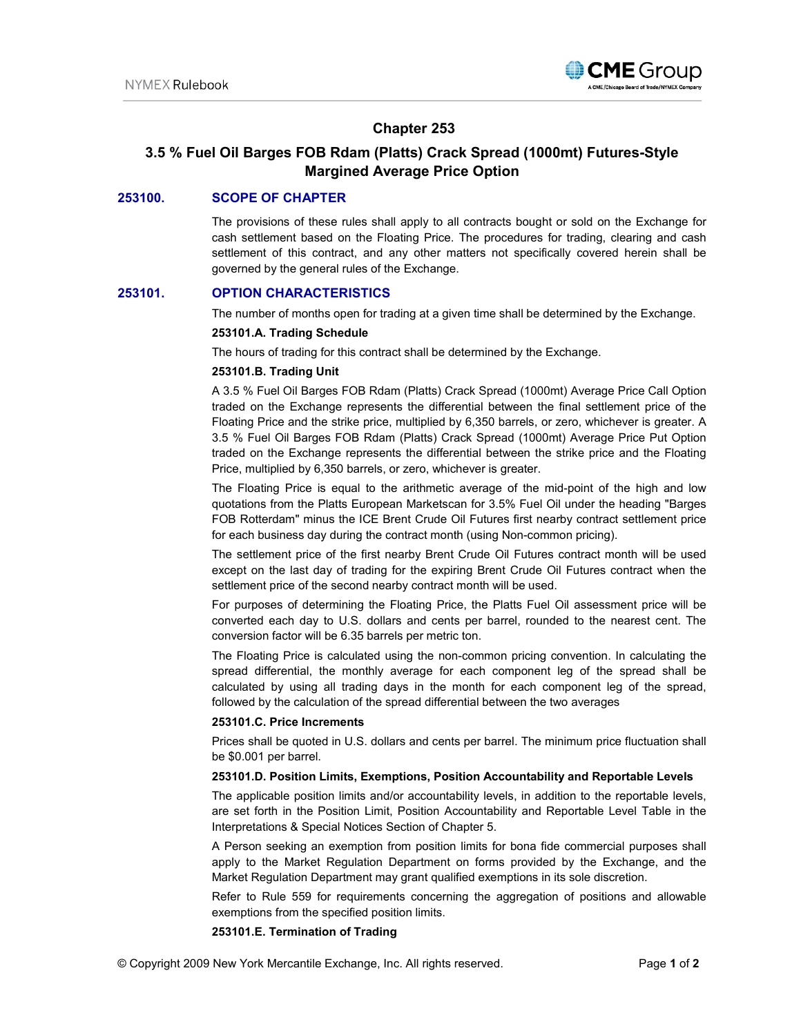

# **Chapter 253**

# **3.5 % Fuel Oil Barges FOB Rdam (Platts) Crack Spread (1000mt) Futures-Style Margined Average Price Option**

# **253100. SCOPE OF CHAPTER**

The provisions of these rules shall apply to all contracts bought or sold on the Exchange for cash settlement based on the Floating Price. The procedures for trading, clearing and cash settlement of this contract, and any other matters not specifically covered herein shall be governed by the general rules of the Exchange.

## **253101. OPTION CHARACTERISTICS**

The number of months open for trading at a given time shall be determined by the Exchange.

### **253101.A. Trading Schedule**

The hours of trading for this contract shall be determined by the Exchange.

### **253101.B. Trading Unit**

A 3.5 % Fuel Oil Barges FOB Rdam (Platts) Crack Spread (1000mt) Average Price Call Option traded on the Exchange represents the differential between the final settlement price of the Floating Price and the strike price, multiplied by 6,350 barrels, or zero, whichever is greater. A 3.5 % Fuel Oil Barges FOB Rdam (Platts) Crack Spread (1000mt) Average Price Put Option traded on the Exchange represents the differential between the strike price and the Floating Price, multiplied by 6,350 barrels, or zero, whichever is greater.

The Floating Price is equal to the arithmetic average of the mid-point of the high and low quotations from the Platts European Marketscan for 3.5% Fuel Oil under the heading "Barges FOB Rotterdam" minus the ICE Brent Crude Oil Futures first nearby contract settlement price for each business day during the contract month (using Non-common pricing).

The settlement price of the first nearby Brent Crude Oil Futures contract month will be used except on the last day of trading for the expiring Brent Crude Oil Futures contract when the settlement price of the second nearby contract month will be used.

For purposes of determining the Floating Price, the Platts Fuel Oil assessment price will be converted each day to U.S. dollars and cents per barrel, rounded to the nearest cent. The conversion factor will be 6.35 barrels per metric ton.

The Floating Price is calculated using the non-common pricing convention. In calculating the spread differential, the monthly average for each component leg of the spread shall be calculated by using all trading days in the month for each component leg of the spread, followed by the calculation of the spread differential between the two averages

### **253101.C. Price Increments**

Prices shall be quoted in U.S. dollars and cents per barrel. The minimum price fluctuation shall be \$0.001 per barrel.

### **253101.D. Position Limits, Exemptions, Position Accountability and Reportable Levels**

The applicable position limits and/or accountability levels, in addition to the reportable levels, are set forth in the Position Limit, Position Accountability and Reportable Level Table in the Interpretations & Special Notices Section of Chapter 5.

A Person seeking an exemption from position limits for bona fide commercial purposes shall apply to the Market Regulation Department on forms provided by the Exchange, and the Market Regulation Department may grant qualified exemptions in its sole discretion.

Refer to Rule 559 for requirements concerning the aggregation of positions and allowable exemptions from the specified position limits.

### **253101.E. Termination of Trading**